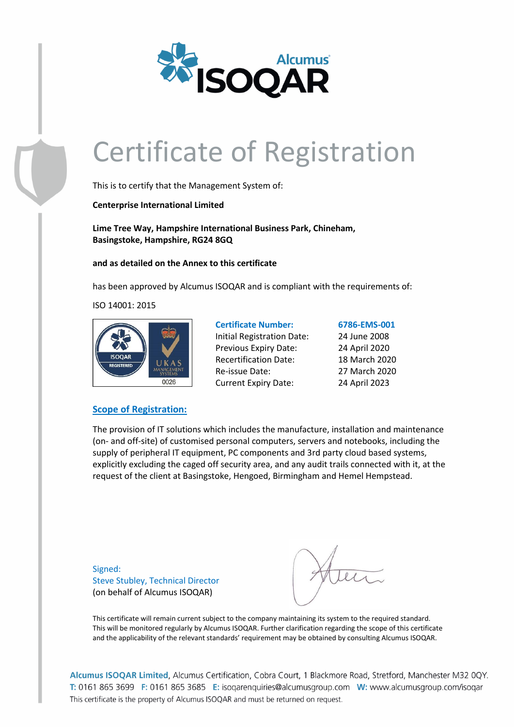

This is to certify that the Management System of:

**Centerprise International Limited**

**Lime Tree Way, Hampshire International Business Park, Chineham, Basingstoke, Hampshire, RG24 8GQ**

**and as detailed on the Annex to this certificate**

has been approved by Alcumus ISOQAR and is compliant with the requirements of:

ISO 14001: 2015



### **Certificate Number: 6786-EMS-001** Initial Registration Date: 24 June 2008 Previous Expiry Date: 24 April 2020 Recertification Date: 18 March 2020 Re-issue Date: 27 March 2020 Current Expiry Date: 24 April 2023

#### **Scope of Registration:**

The provision of IT solutions which includes the manufacture, installation and maintenance (on- and off-site) of customised personal computers, servers and notebooks, including the supply of peripheral IT equipment, PC components and 3rd party cloud based systems, explicitly excluding the caged off security area, and any audit trails connected with it, at the request of the client at Basingstoke, Hengoed, Birmingham and Hemel Hempstead.

Signed: Steve Stubley, Technical Director (on behalf of Alcumus ISOQAR)

This certificate will remain current subject to the company maintaining its system to the required standard. This will be monitored regularly by Alcumus ISOQAR. Further clarification regarding the scope of this certificate and the applicability of the relevant standards' requirement may be obtained by consulting Alcumus ISOQAR.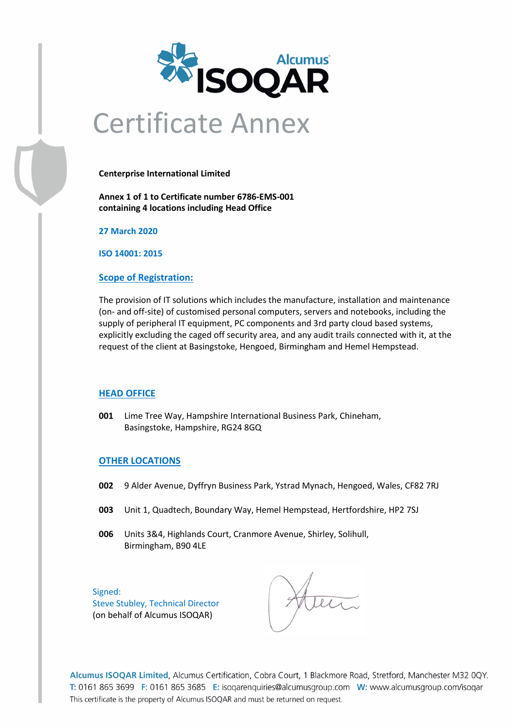

### Certificate Annex

**Centerprise International Limited**

**Annex 1 of 1 to Certificate number 6786-EMS-001 containing 4 locations including Head Office**

**27 March 2020**

**ISO 14001: 2015**

#### **Scope of Registration:**

The provision of IT solutions which includes the manufacture, installation and maintenance (on- and off-site) of customised personal computers, servers and notebooks, including the supply of peripheral IT equipment, PC components and 3rd party cloud based systems, explicitly excluding the caged off security area, and any audit trails connected with it, at the request of the client at Basingstoke, Hengoed, Birmingham and Hemel Hempstead.

#### **HEAD OFFICE**

**001** Lime Tree Way, Hampshire International Business Park, Chineham, Basingstoke, Hampshire, RG24 8GQ

#### **OTHER LOCATIONS**

- **002** 9 Alder Avenue, Dyffryn Business Park, Ystrad Mynach, Hengoed, Wales, CF82 7RJ
- **003** Unit 1, Quadtech, Boundary Way, Hemel Hempstead, Hertfordshire, HP2 7SJ
- **006** Units 3&4, Highlands Court, Cranmore Avenue, Shirley, Solihull, Birmingham, B90 4LE

Signed: Steve Stubley, Technical Director (on behalf of Alcumus ISOQAR)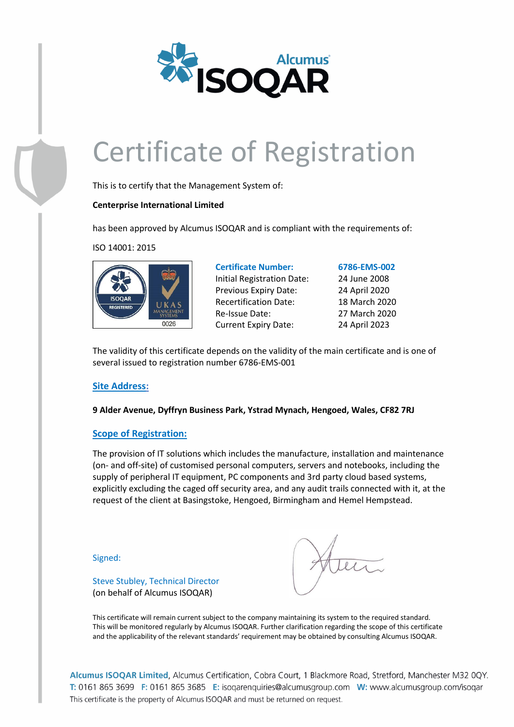

This is to certify that the Management System of:

#### **Centerprise International Limited**

has been approved by Alcumus ISOQAR and is compliant with the requirements of:

ISO 14001: 2015



**Certificate Number: 6786-EMS-002** Initial Registration Date: 24 June 2008 Previous Expiry Date: 24 April 2020 Recertification Date: 18 March 2020 Re-Issue Date: 27 March 2020 Current Expiry Date: 24 April 2023

The validity of this certificate depends on the validity of the main certificate and is one of several issued to registration number 6786-EMS-001

#### **Site Address:**

**9 Alder Avenue, Dyffryn Business Park, Ystrad Mynach, Hengoed, Wales, CF82 7RJ**

#### **Scope of Registration:**

Steve Stubley, Technical Director (on behalf of Alcumus ISOQAR)

The provision of IT solutions which includes the manufacture, installation and maintenance (on- and off-site) of customised personal computers, servers and notebooks, including the supply of peripheral IT equipment, PC components and 3rd party cloud based systems, explicitly excluding the caged off security area, and any audit trails connected with it, at the request of the client at Basingstoke, Hengoed, Birmingham and Hemel Hempstead.

Signed:

This certificate will remain current subject to the company maintaining its system to the required standard. This will be monitored regularly by Alcumus ISOQAR. Further clarification regarding the scope of this certificate and the applicability of the relevant standards' requirement may be obtained by consulting Alcumus ISOQAR.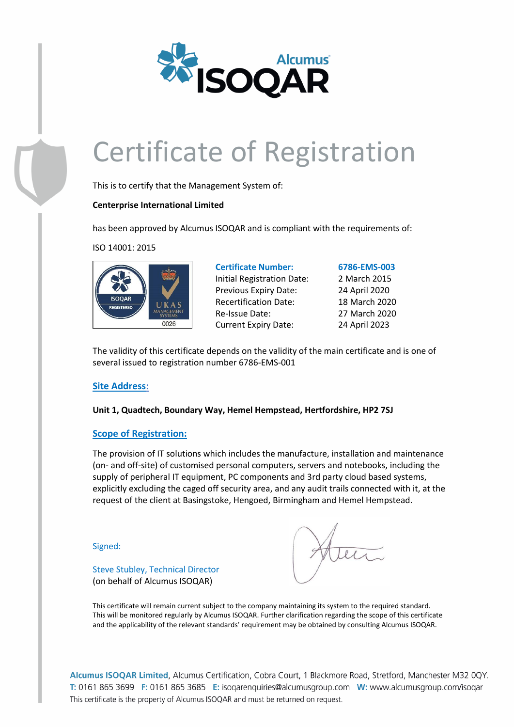

This is to certify that the Management System of:

#### **Centerprise International Limited**

has been approved by Alcumus ISOQAR and is compliant with the requirements of:

ISO 14001: 2015



**Certificate Number: 6786-EMS-003** Initial Registration Date: 2 March 2015 Previous Expiry Date: 24 April 2020 Recertification Date: 18 March 2020 Re-Issue Date: 27 March 2020 Current Expiry Date: 24 April 2023

The validity of this certificate depends on the validity of the main certificate and is one of several issued to registration number 6786-EMS-001

#### **Site Address:**

**Unit 1, Quadtech, Boundary Way, Hemel Hempstead, Hertfordshire, HP2 7SJ**

#### **Scope of Registration:**

Steve Stubley, Technical Director (on behalf of Alcumus ISOQAR)

The provision of IT solutions which includes the manufacture, installation and maintenance (on- and off-site) of customised personal computers, servers and notebooks, including the supply of peripheral IT equipment, PC components and 3rd party cloud based systems, explicitly excluding the caged off security area, and any audit trails connected with it, at the request of the client at Basingstoke, Hengoed, Birmingham and Hemel Hempstead.

Signed:

This certificate will remain current subject to the company maintaining its system to the required standard. This will be monitored regularly by Alcumus ISOQAR. Further clarification regarding the scope of this certificate and the applicability of the relevant standards' requirement may be obtained by consulting Alcumus ISOQAR.